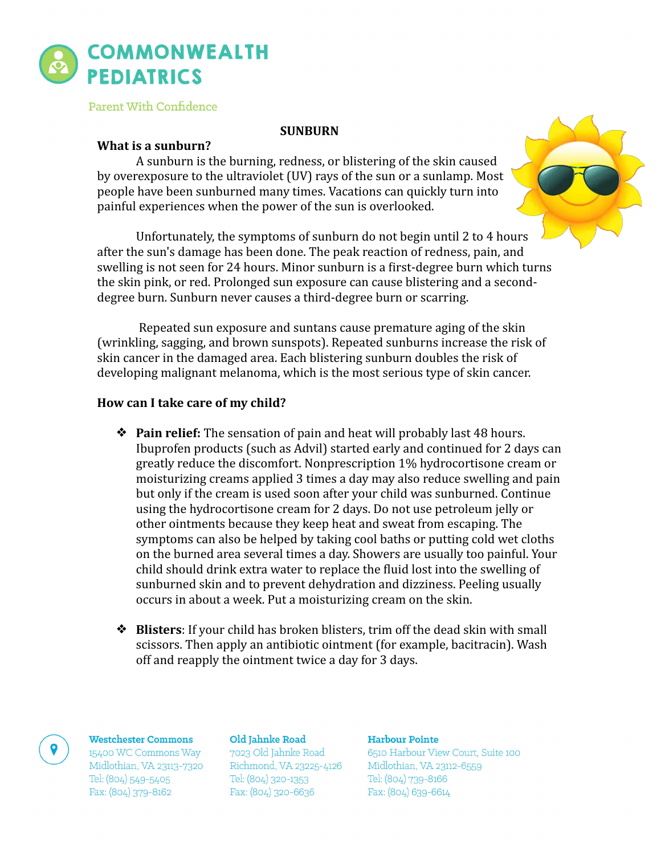

Parent With Confidence

### **SUNBURN**

## **What is a sunburn?**

A sunburn is the burning, redness, or blistering of the skin caused by overexposure to the ultraviolet (UV) rays of the sun or a sunlamp. Most people have been sunburned many times. Vacations can quickly turn into painful experiences when the power of the sun is overlooked.

Unfortunately, the symptoms of sunburn do not begin until 2 to 4 hours after the sun's damage has been done. The peak reaction of redness, pain, and swelling is not seen for 24 hours. Minor sunburn is a first-degree burn which turns the skin pink, or red. Prolonged sun exposure can cause blistering and a seconddegree burn. Sunburn never causes a third-degree burn or scarring.

Repeated sun exposure and suntans cause premature aging of the skin (wrinkling, sagging, and brown sunspots). Repeated sunburns increase the risk of skin cancer in the damaged area. Each blistering sunburn doubles the risk of developing malignant melanoma, which is the most serious type of skin cancer.

### How can I take care of my child?

- **❖** Pain relief: The sensation of pain and heat will probably last 48 hours. Ibuprofen products (such as Advil) started early and continued for 2 days can greatly reduce the discomfort. Nonprescription 1% hydrocortisone cream or moisturizing creams applied 3 times a day may also reduce swelling and pain but only if the cream is used soon after your child was sunburned. Continue using the hydrocortisone cream for 2 days. Do not use petroleum jelly or other ointments because they keep heat and sweat from escaping. The symptoms can also be helped by taking cool baths or putting cold wet cloths on the burned area several times a day. Showers are usually too painful. Your child should drink extra water to replace the fluid lost into the swelling of sunburned skin and to prevent dehydration and dizziness. Peeling usually occurs in about a week. Put a moisturizing cream on the skin.
- **❖** Blisters: If your child has broken blisters, trim off the dead skin with small scissors. Then apply an antibiotic ointment (for example, bacitracin). Wash off and reapply the ointment twice a day for 3 days.

### **Westchester Commons**

15400 WC Commons Way Midlothian, VA 23113-7320 Tel: (804) 549-5405 Fax: (804) 379-8162

### Old Jahnke Road

7023 Old Jahnke Road Richmond, VA 23225-4126 Tel: (804) 320-1353 Fax: (804) 320-6636

### Harbour Pointe

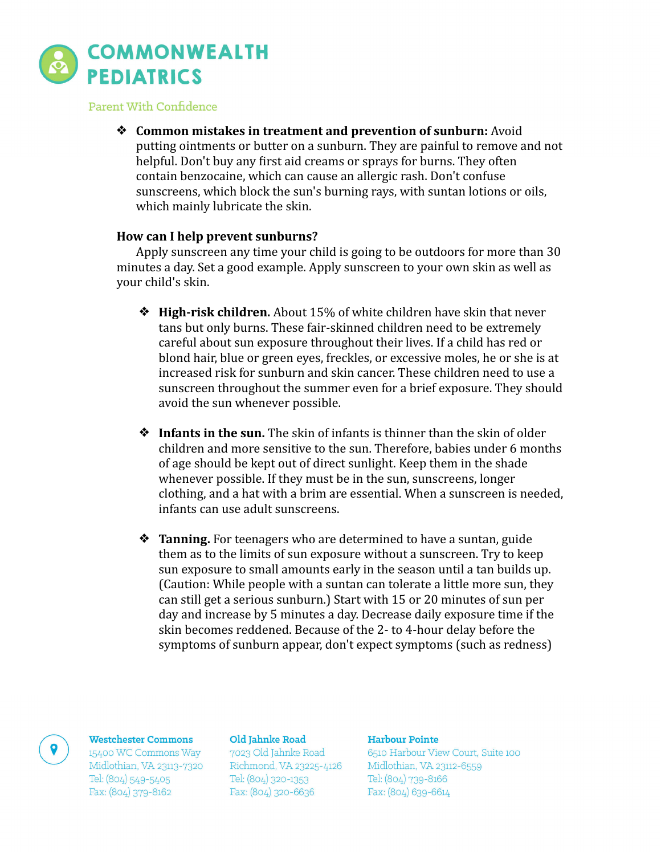

### Parent With Confidence

**❖** Common mistakes in treatment and prevention of sunburn: Avoid putting ointments or butter on a sunburn. They are painful to remove and not helpful. Don't buy any first aid creams or sprays for burns. They often contain benzocaine, which can cause an allergic rash. Don't confuse sunscreens, which block the sun's burning rays, with suntan lotions or oils, which mainly lubricate the skin.

### How can I help prevent sunburns?

Apply sunscreen any time your child is going to be outdoors for more than 30 minutes a day. Set a good example. Apply sunscreen to your own skin as well as vour child's skin.

- **❖** High-risk children. About 15% of white children have skin that never tans but only burns. These fair-skinned children need to be extremely careful about sun exposure throughout their lives. If a child has red or blond hair, blue or green eyes, freckles, or excessive moles, he or she is at increased risk for sunburn and skin cancer. These children need to use a sunscreen throughout the summer even for a brief exposure. They should avoid the sun whenever possible.
- **❖** Infants in the sun. The skin of infants is thinner than the skin of older children and more sensitive to the sun. Therefore, babies under 6 months of age should be kept out of direct sunlight. Keep them in the shade whenever possible. If they must be in the sun, sunscreens, longer clothing, and a hat with a brim are essential. When a sunscreen is needed, infants can use adult sunscreens.
- **❖** Tanning. For teenagers who are determined to have a suntan, guide them as to the limits of sun exposure without a sunscreen. Try to keep sun exposure to small amounts early in the season until a tan builds up. (Caution: While people with a suntan can tolerate a little more sun, they can still get a serious sunburn.) Start with 15 or 20 minutes of sun per day and increase by 5 minutes a day. Decrease daily exposure time if the skin becomes reddened. Because of the 2- to 4-hour delay before the symptoms of sunburn appear, don't expect symptoms (such as redness)

### **Westchester Commons**

15400 WC Commons Way Midlothian, VA 23113-7320 Tel: (804) 549-5405 Fax: (804) 379-8162

### Old Jahnke Road

7023 Old Jahnke Road Richmond, VA 23225-4126 Tel: (804) 320-1353 Fax: (804) 320-6636

### Harbour Pointe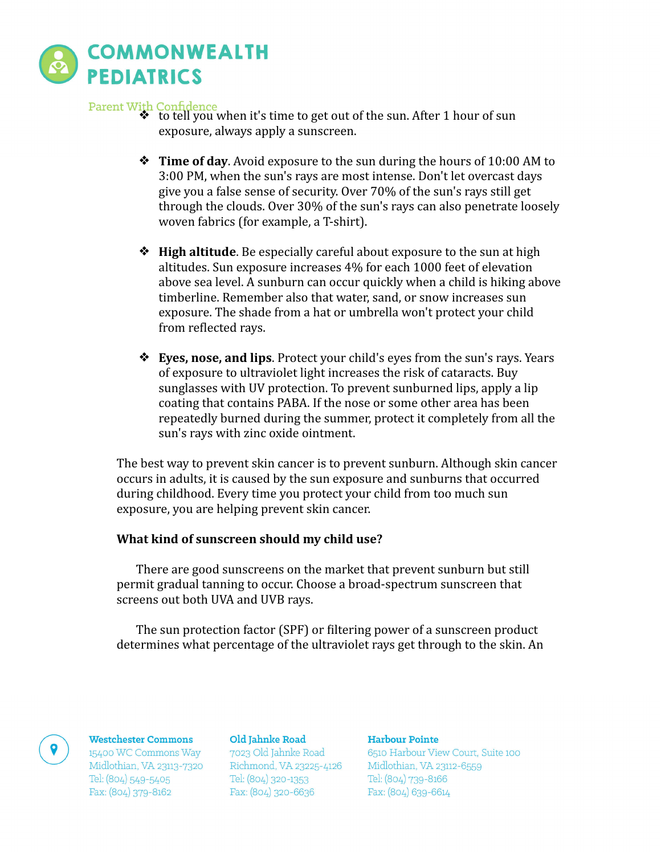

Parent With Confidence<br> **↓** to tell you when it's time to get out of the sun. After 1 hour of sun exposure, always apply a sunscreen.

- **❖** Time of day. Avoid exposure to the sun during the hours of 10:00 AM to 3:00 PM, when the sun's rays are most intense. Don't let overcast days give vou a false sense of security. Over 70% of the sun's rays still get through the clouds. Over 30% of the sun's rays can also penetrate loosely woven fabrics (for example, a T-shirt).
- **❖** High altitude. Be especially careful about exposure to the sun at high altitudes. Sun exposure increases 4% for each 1000 feet of elevation above sea level. A sunburn can occur quickly when a child is hiking above timberline. Remember also that water, sand, or snow increases sun exposure. The shade from a hat or umbrella won't protect your child from reflected rays.
- **❖** Eyes, nose, and lips. Protect your child's eyes from the sun's rays. Years of exposure to ultraviolet light increases the risk of cataracts. Buy sunglasses with UV protection. To prevent sunburned lips, apply a lip coating that contains PABA. If the nose or some other area has been repeatedly burned during the summer, protect it completely from all the sun's rays with zinc oxide ointment.

The best way to prevent skin cancer is to prevent sunburn. Although skin cancer occurs in adults, it is caused by the sun exposure and sunburns that occurred during childhood. Every time you protect your child from too much sun exposure, you are helping prevent skin cancer.

### **What kind of sunscreen should my child use?**

There are good sunscreens on the market that prevent sunburn but still permit gradual tanning to occur. Choose a broad-spectrum sunscreen that screens out both UVA and UVB rays.

The sun protection factor (SPF) or filtering power of a sunscreen product determines what percentage of the ultraviolet rays get through to the skin. An

### **Westchester Commons**

15400 WC Commons Way Midlothian, VA 23113-7320 Tel: (804) 549-5405 Fax: (804) 379-8162

# Old Jahnke Road 7023 Old Jahnke Road<br>Richmond, VA 23225-4126 Tel: (804) 320-1353 Fax: (804) 320-6636

### Harbour Pointe